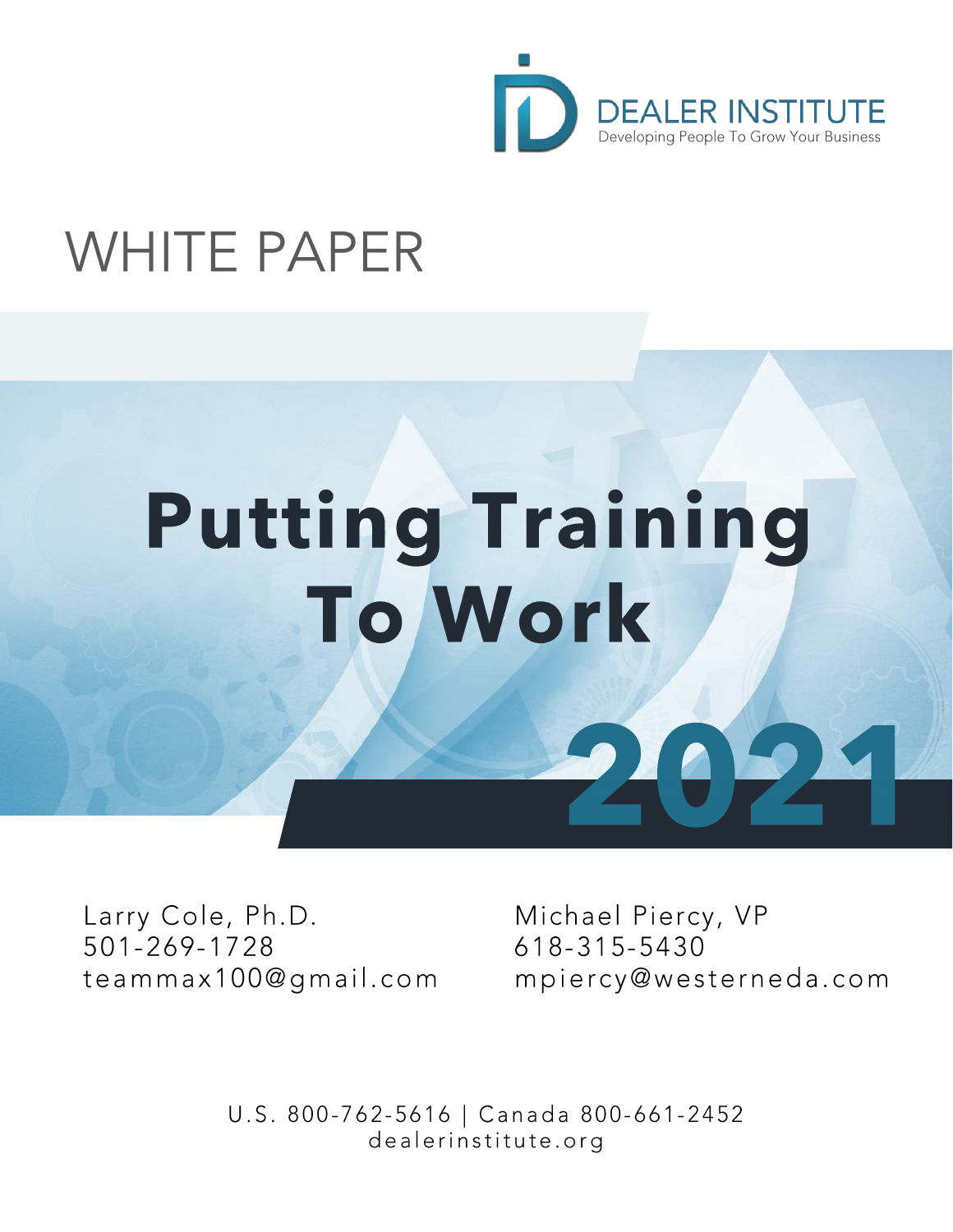

# **WHITE PAPER**

# **Putting Training To Work**

Larry Cole, Ph.D. 501-269-1728 teammax100@gmail.com Michael Piercy, VP 618-315-5430 mpiercy@westerneda.com

U.S. 800-762-5616 | Canada 800-661-2452 dealerinstitute.org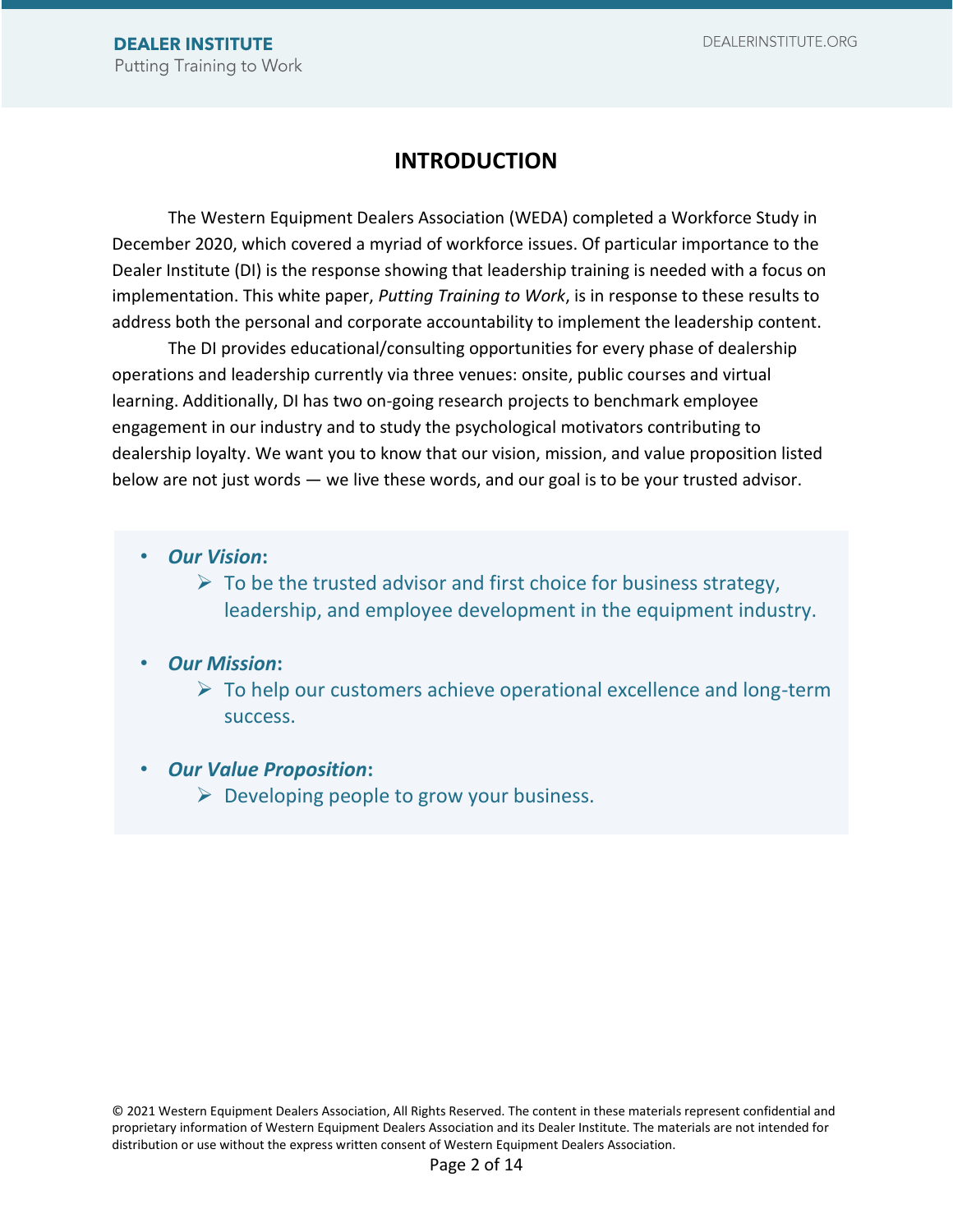# **INTRODUCTION**

The Western Equipment Dealers Association (WEDA) completed a Workforce Study in December 2020, which covered a myriad of workforce issues. Of particular importance to the Dealer Institute (DI) is the response showing that leadership training is needed with a focus on implementation. This white paper, *Putting Training to Work*, is in response to these results to address both the personal and corporate accountability to implement the leadership content.

The DI provides educational/consulting opportunities for every phase of dealership operations and leadership currently via three venues: onsite, public courses and virtual learning. Additionally, DI has two on-going research projects to benchmark employee engagement in our industry and to study the psychological motivators contributing to dealership loyalty. We want you to know that our vision, mission, and value proposition listed below are not just words — we live these words, and our goal is to be your trusted advisor.

- *Our Vision***:**
	- $\triangleright$  To be the trusted advisor and first choice for business strategy, leadership, and employee development in the equipment industry.
- *Our Mission***:**
	- $\triangleright$  To help our customers achieve operational excellence and long-term success.
- *Our Value Proposition***:**
	- $\triangleright$  Developing people to grow your business.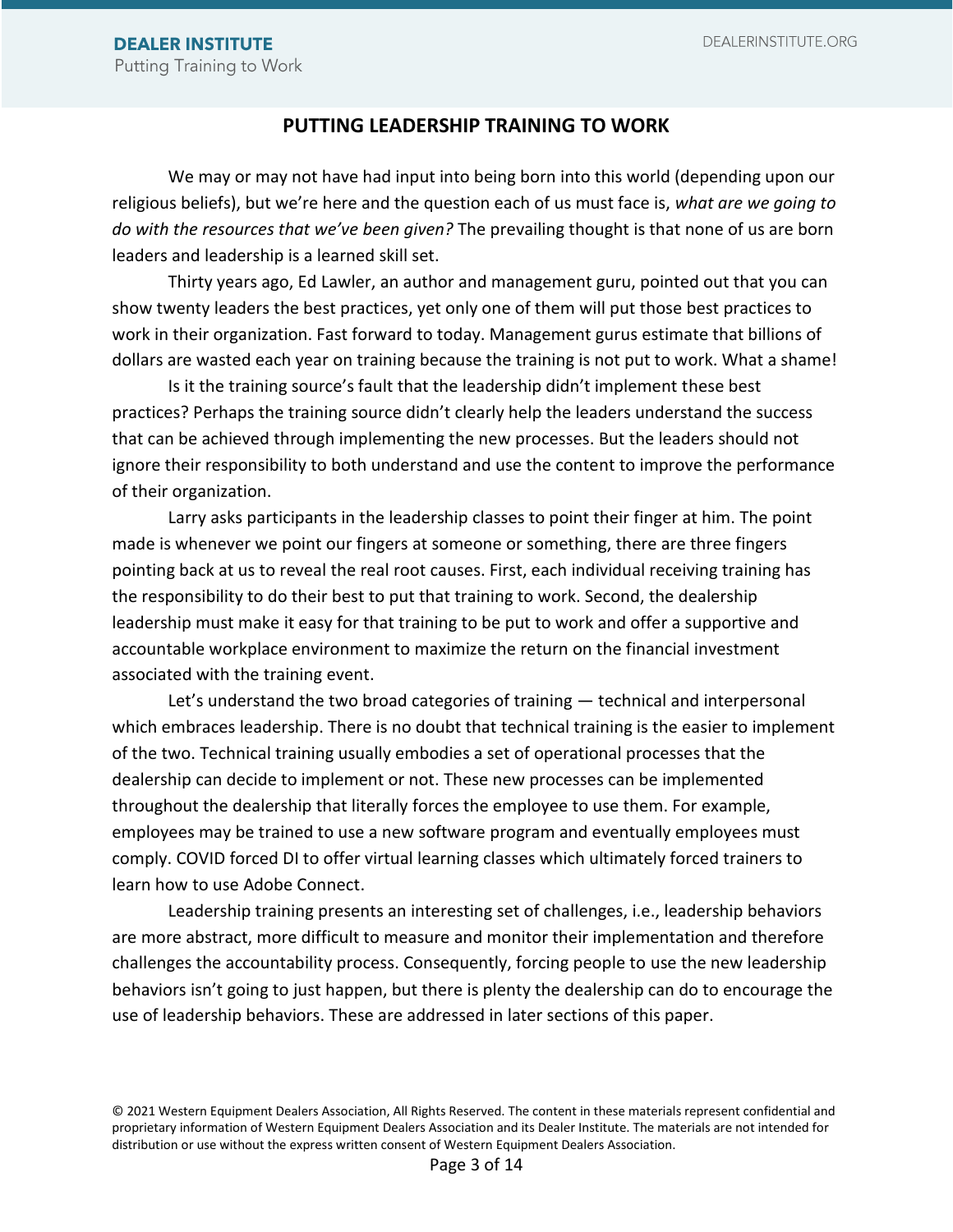#### **PUTTING LEADERSHIP TRAINING TO WORK**

We may or may not have had input into being born into this world (depending upon our religious beliefs), but we're here and the question each of us must face is, *what are we going to do with the resources that we've been given?* The prevailing thought is that none of us are born leaders and leadership is a learned skill set.

Thirty years ago, Ed Lawler, an author and management guru, pointed out that you can show twenty leaders the best practices, yet only one of them will put those best practices to work in their organization. Fast forward to today. Management gurus estimate that billions of dollars are wasted each year on training because the training is not put to work. What a shame!

Is it the training source's fault that the leadership didn't implement these best practices? Perhaps the training source didn't clearly help the leaders understand the success that can be achieved through implementing the new processes. But the leaders should not ignore their responsibility to both understand and use the content to improve the performance of their organization.

Larry asks participants in the leadership classes to point their finger at him. The point made is whenever we point our fingers at someone or something, there are three fingers pointing back at us to reveal the real root causes. First, each individual receiving training has the responsibility to do their best to put that training to work. Second, the dealership leadership must make it easy for that training to be put to work and offer a supportive and accountable workplace environment to maximize the return on the financial investment associated with the training event.

Let's understand the two broad categories of training — technical and interpersonal which embraces leadership. There is no doubt that technical training is the easier to implement of the two. Technical training usually embodies a set of operational processes that the dealership can decide to implement or not. These new processes can be implemented throughout the dealership that literally forces the employee to use them. For example, employees may be trained to use a new software program and eventually employees must comply. COVID forced DI to offer virtual learning classes which ultimately forced trainers to learn how to use Adobe Connect.

Leadership training presents an interesting set of challenges, i.e., leadership behaviors are more abstract, more difficult to measure and monitor their implementation and therefore challenges the accountability process. Consequently, forcing people to use the new leadership behaviors isn't going to just happen, but there is plenty the dealership can do to encourage the use of leadership behaviors. These are addressed in later sections of this paper.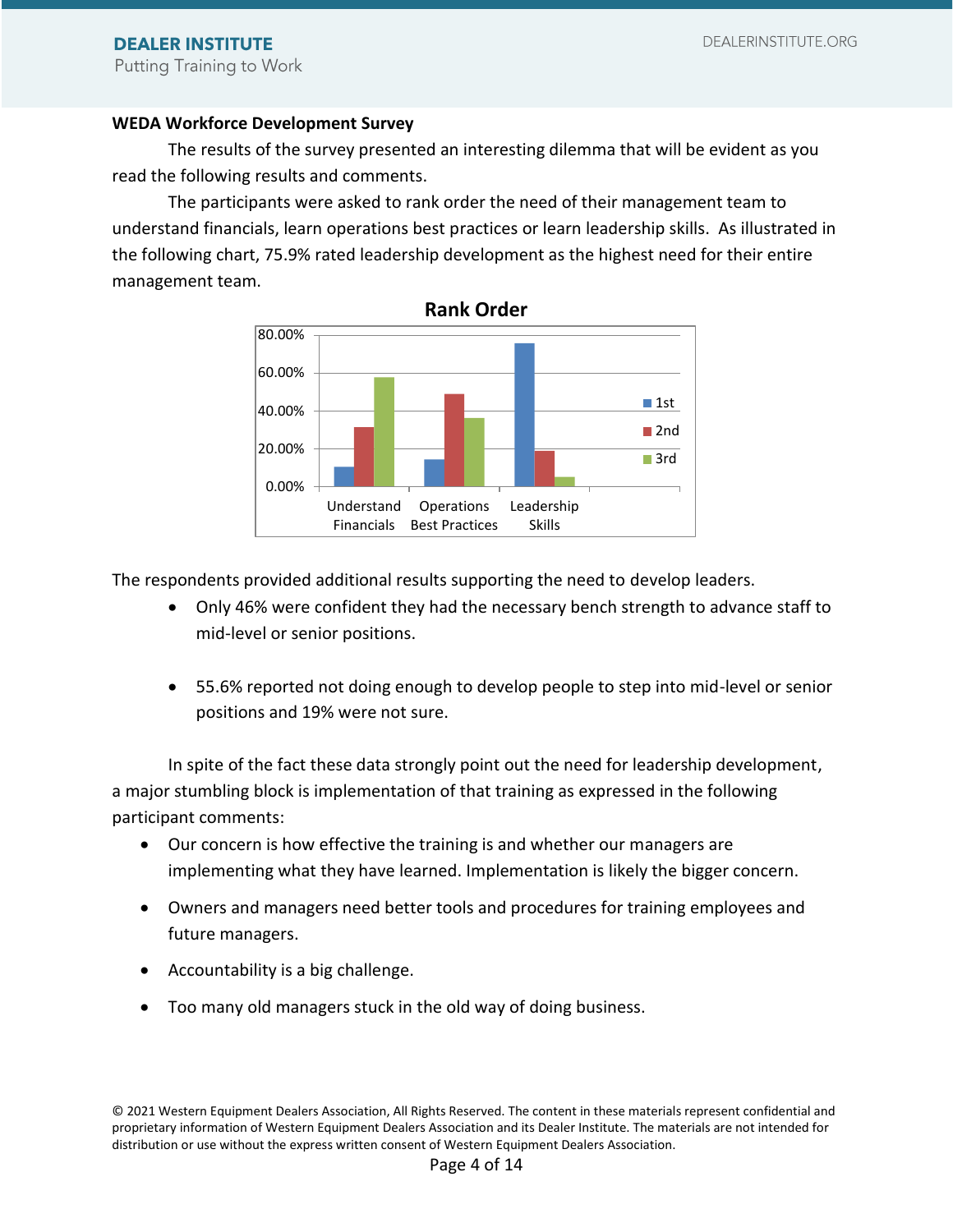#### **WEDA Workforce Development Survey**

The results of the survey presented an interesting dilemma that will be evident as you read the following results and comments.

The participants were asked to rank order the need of their management team to understand financials, learn operations best practices or learn leadership skills. As illustrated in the following chart, 75.9% rated leadership development as the highest need for their entire management team.



The respondents provided additional results supporting the need to develop leaders.

- Only 46% were confident they had the necessary bench strength to advance staff to mid-level or senior positions.
- 55.6% reported not doing enough to develop people to step into mid-level or senior positions and 19% were not sure.

In spite of the fact these data strongly point out the need for leadership development, a major stumbling block is implementation of that training as expressed in the following participant comments:

- Our concern is how effective the training is and whether our managers are implementing what they have learned. Implementation is likely the bigger concern.
- Owners and managers need better tools and procedures for training employees and future managers.
- Accountability is a big challenge.
- Too many old managers stuck in the old way of doing business.

<sup>© 2021</sup> Western Equipment Dealers Association, All Rights Reserved. The content in these materials represent confidential and proprietary information of Western Equipment Dealers Association and its Dealer Institute. The materials are not intended for distribution or use without the express written consent of Western Equipment Dealers Association.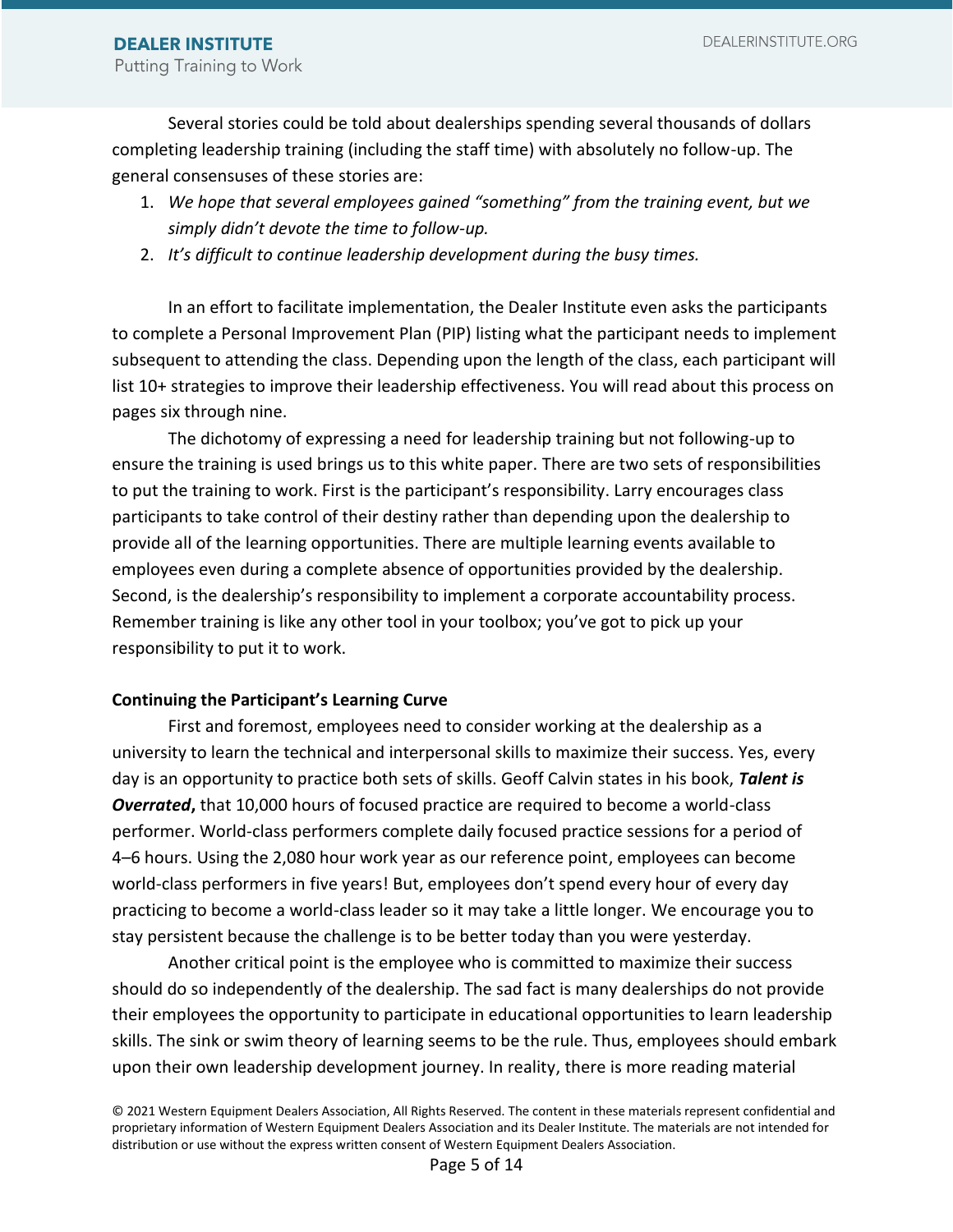Several stories could be told about dealerships spending several thousands of dollars completing leadership training (including the staff time) with absolutely no follow-up. The general consensuses of these stories are:

- 1. *We hope that several employees gained "something" from the training event, but we simply didn't devote the time to follow-up.*
- 2. *It's difficult to continue leadership development during the busy times.*

In an effort to facilitate implementation, the Dealer Institute even asks the participants to complete a Personal Improvement Plan (PIP) listing what the participant needs to implement subsequent to attending the class. Depending upon the length of the class, each participant will list 10+ strategies to improve their leadership effectiveness. You will read about this process on pages six through nine.

The dichotomy of expressing a need for leadership training but not following-up to ensure the training is used brings us to this white paper. There are two sets of responsibilities to put the training to work. First is the participant's responsibility. Larry encourages class participants to take control of their destiny rather than depending upon the dealership to provide all of the learning opportunities. There are multiple learning events available to employees even during a complete absence of opportunities provided by the dealership. Second, is the dealership's responsibility to implement a corporate accountability process. Remember training is like any other tool in your toolbox; you've got to pick up your responsibility to put it to work.

#### **Continuing the Participant's Learning Curve**

First and foremost, employees need to consider working at the dealership as a university to learn the technical and interpersonal skills to maximize their success. Yes, every day is an opportunity to practice both sets of skills. Geoff Calvin states in his book, *Talent is Overrated***,** that 10,000 hours of focused practice are required to become a world-class performer. World-class performers complete daily focused practice sessions for a period of 4–6 hours. Using the 2,080 hour work year as our reference point, employees can become world-class performers in five years! But, employees don't spend every hour of every day practicing to become a world-class leader so it may take a little longer. We encourage you to stay persistent because the challenge is to be better today than you were yesterday.

Another critical point is the employee who is committed to maximize their success should do so independently of the dealership. The sad fact is many dealerships do not provide their employees the opportunity to participate in educational opportunities to learn leadership skills. The sink or swim theory of learning seems to be the rule. Thus, employees should embark upon their own leadership development journey. In reality, there is more reading material

<sup>© 2021</sup> Western Equipment Dealers Association, All Rights Reserved. The content in these materials represent confidential and proprietary information of Western Equipment Dealers Association and its Dealer Institute. The materials are not intended for distribution or use without the express written consent of Western Equipment Dealers Association.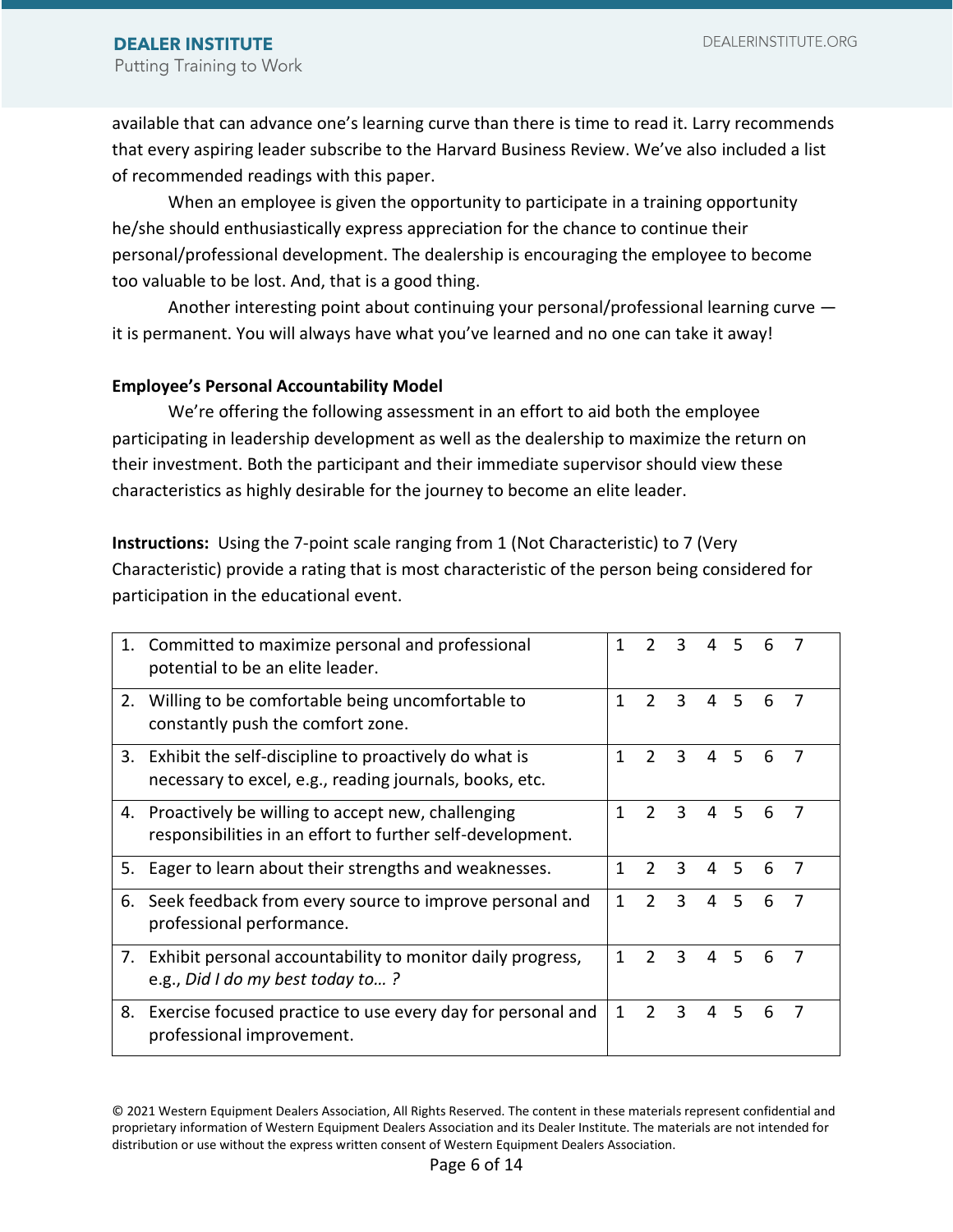available that can advance one's learning curve than there is time to read it. Larry recommends that every aspiring leader subscribe to the Harvard Business Review. We've also included a list of recommended readings with this paper.

When an employee is given the opportunity to participate in a training opportunity he/she should enthusiastically express appreciation for the chance to continue their personal/professional development. The dealership is encouraging the employee to become too valuable to be lost. And, that is a good thing.

Another interesting point about continuing your personal/professional learning curve it is permanent. You will always have what you've learned and no one can take it away!

#### **Employee's Personal Accountability Model**

We're offering the following assessment in an effort to aid both the employee participating in leadership development as well as the dealership to maximize the return on their investment. Both the participant and their immediate supervisor should view these characteristics as highly desirable for the journey to become an elite leader.

**Instructions:** Using the 7-point scale ranging from 1 (Not Characteristic) to 7 (Very Characteristic) provide a rating that is most characteristic of the person being considered for participation in the educational event.

| 1. | Committed to maximize personal and professional<br>potential to be an elite leader.                                | 1 | 2             | 3 |   |    |   |   |
|----|--------------------------------------------------------------------------------------------------------------------|---|---------------|---|---|----|---|---|
| 2. | Willing to be comfortable being uncomfortable to<br>constantly push the comfort zone.                              | 1 | $\mathcal{P}$ | 3 | 4 | 5  | 6 |   |
| 3. | Exhibit the self-discipline to proactively do what is<br>necessary to excel, e.g., reading journals, books, etc.   | 1 | $\mathcal{P}$ | 3 | 4 | 5  | 6 |   |
|    | 4. Proactively be willing to accept new, challenging<br>responsibilities in an effort to further self-development. | 1 | $\mathcal{P}$ | 3 | 4 | 5  | 6 |   |
| 5. | Eager to learn about their strengths and weaknesses.                                                               | 1 | $\mathcal{P}$ | 3 | 4 | .5 | 6 | 7 |
|    | 6. Seek feedback from every source to improve personal and<br>professional performance.                            | 1 | $\mathcal{P}$ | 3 | 4 | 5  | 6 |   |
|    | 7. Exhibit personal accountability to monitor daily progress,<br>e.g., Did I do my best today to?                  | 1 | C.            | 3 | 4 | 5  | 6 |   |
| 8. | Exercise focused practice to use every day for personal and<br>professional improvement.                           | 1 | $\mathcal{P}$ | 3 | 4 | 5  | 6 |   |

<sup>© 2021</sup> Western Equipment Dealers Association, All Rights Reserved. The content in these materials represent confidential and proprietary information of Western Equipment Dealers Association and its Dealer Institute. The materials are not intended for distribution or use without the express written consent of Western Equipment Dealers Association.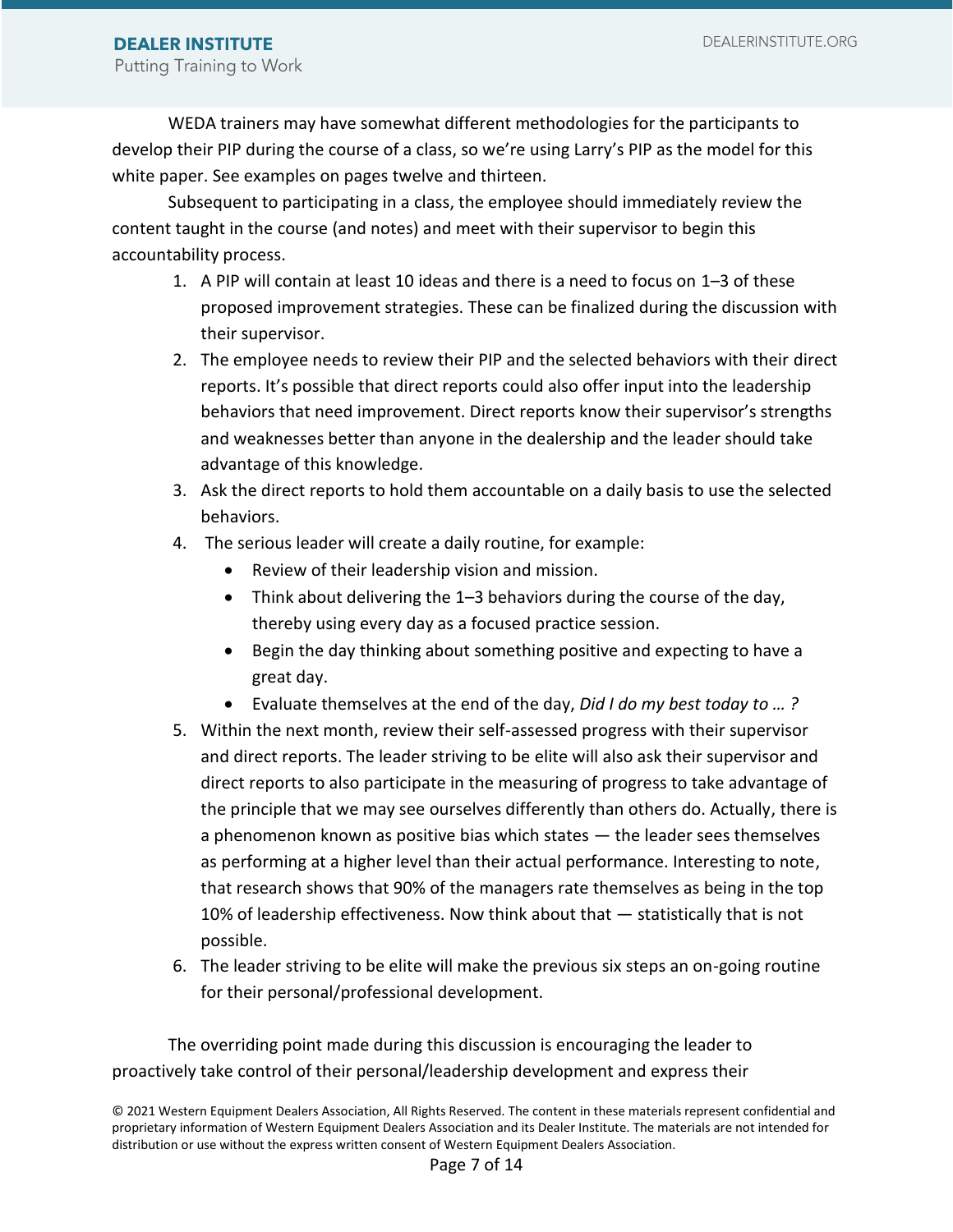WEDA trainers may have somewhat different methodologies for the participants to develop their PIP during the course of a class, so we're using Larry's PIP as the model for this white paper. See examples on pages twelve and thirteen.

Subsequent to participating in a class, the employee should immediately review the content taught in the course (and notes) and meet with their supervisor to begin this accountability process.

- 1. A PIP will contain at least 10 ideas and there is a need to focus on 1–3 of these proposed improvement strategies. These can be finalized during the discussion with their supervisor.
- 2. The employee needs to review their PIP and the selected behaviors with their direct reports. It's possible that direct reports could also offer input into the leadership behaviors that need improvement. Direct reports know their supervisor's strengths and weaknesses better than anyone in the dealership and the leader should take advantage of this knowledge.
- 3. Ask the direct reports to hold them accountable on a daily basis to use the selected behaviors.
- 4. The serious leader will create a daily routine, for example:
	- Review of their leadership vision and mission.
	- Think about delivering the 1–3 behaviors during the course of the day, thereby using every day as a focused practice session.
	- Begin the day thinking about something positive and expecting to have a great day.
	- Evaluate themselves at the end of the day, *Did I do my best today to … ?*
- 5. Within the next month, review their self-assessed progress with their supervisor and direct reports. The leader striving to be elite will also ask their supervisor and direct reports to also participate in the measuring of progress to take advantage of the principle that we may see ourselves differently than others do. Actually, there is a phenomenon known as positive bias which states — the leader sees themselves as performing at a higher level than their actual performance. Interesting to note, that research shows that 90% of the managers rate themselves as being in the top 10% of leadership effectiveness. Now think about that — statistically that is not possible.
- 6. The leader striving to be elite will make the previous six steps an on-going routine for their personal/professional development.

The overriding point made during this discussion is encouraging the leader to proactively take control of their personal/leadership development and express their

<sup>© 2021</sup> Western Equipment Dealers Association, All Rights Reserved. The content in these materials represent confidential and proprietary information of Western Equipment Dealers Association and its Dealer Institute. The materials are not intended for distribution or use without the express written consent of Western Equipment Dealers Association.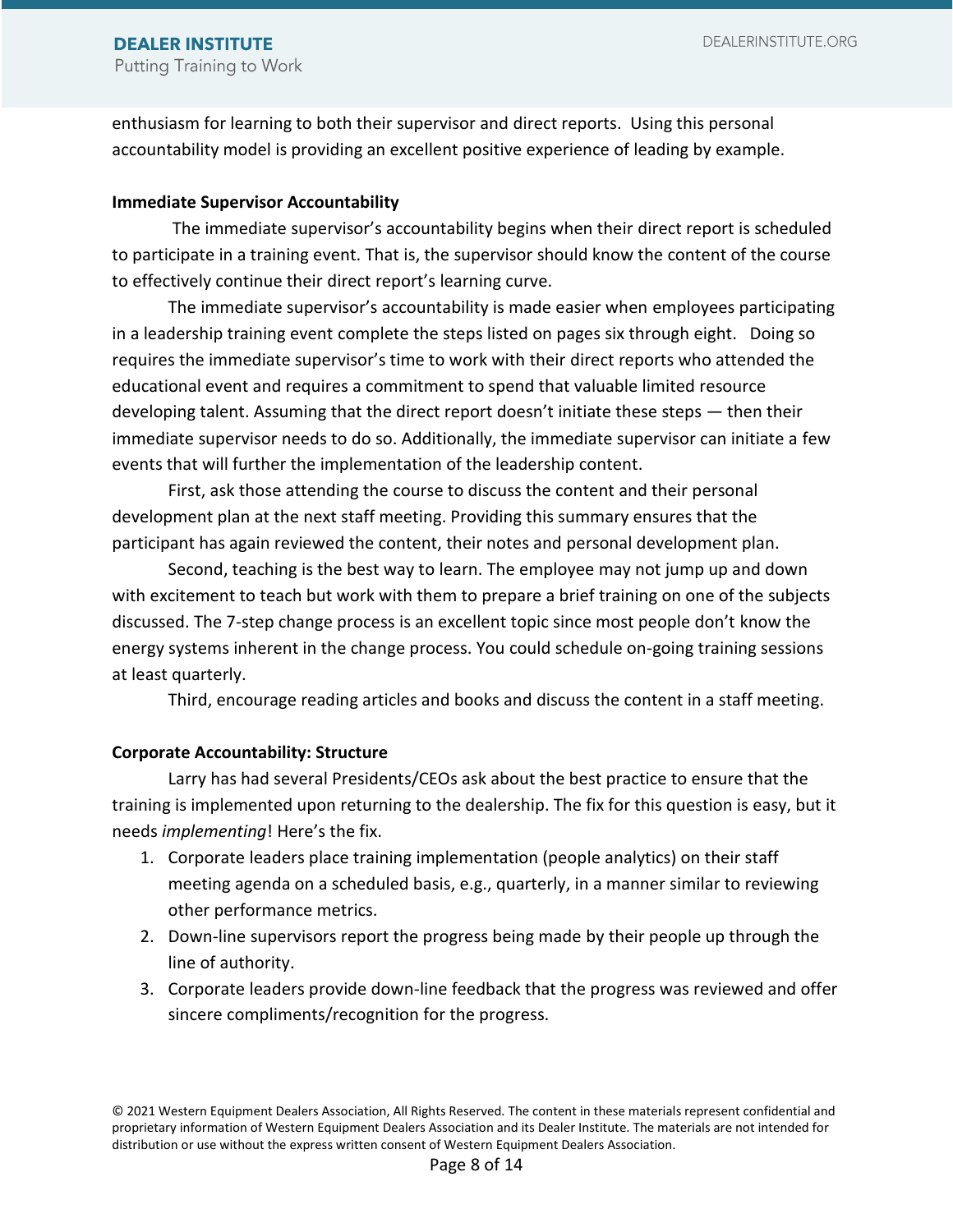enthusiasm for learning to both their supervisor and direct reports. Using this personal accountability model is providing an excellent positive experience of leading by example.

#### **Immediate Supervisor Accountability**

The immediate supervisor's accountability begins when their direct report is scheduled to participate in a training event. That is, the supervisor should know the content of the course to effectively continue their direct report's learning curve.

The immediate supervisor's accountability is made easier when employees participating in a leadership training event complete the steps listed on pages six through eight. Doing so requires the immediate supervisor's time to work with their direct reports who attended the educational event and requires a commitment to spend that valuable limited resource developing talent. Assuming that the direct report doesn't initiate these steps — then their immediate supervisor needs to do so. Additionally, the immediate supervisor can initiate a few events that will further the implementation of the leadership content.

First, ask those attending the course to discuss the content and their personal development plan at the next staff meeting. Providing this summary ensures that the participant has again reviewed the content, their notes and personal development plan.

Second, teaching is the best way to learn. The employee may not jump up and down with excitement to teach but work with them to prepare a brief training on one of the subjects discussed. The 7-step change process is an excellent topic since most people don't know the energy systems inherent in the change process. You could schedule on-going training sessions at least quarterly.

Third, encourage reading articles and books and discuss the content in a staff meeting.

#### **Corporate Accountability: Structure**

Larry has had several Presidents/CEOs ask about the best practice to ensure that the training is implemented upon returning to the dealership. The fix for this question is easy, but it needs *implementing*! Here's the fix.

- 1. Corporate leaders place training implementation (people analytics) on their staff meeting agenda on a scheduled basis, e.g., quarterly, in a manner similar to reviewing other performance metrics.
- 2. Down-line supervisors report the progress being made by their people up through the line of authority.
- 3. Corporate leaders provide down-line feedback that the progress was reviewed and offer sincere compliments/recognition for the progress.

<sup>© 2021</sup> Western Equipment Dealers Association, All Rights Reserved. The content in these materials represent confidential and proprietary information of Western Equipment Dealers Association and its Dealer Institute. The materials are not intended for distribution or use without the express written consent of Western Equipment Dealers Association.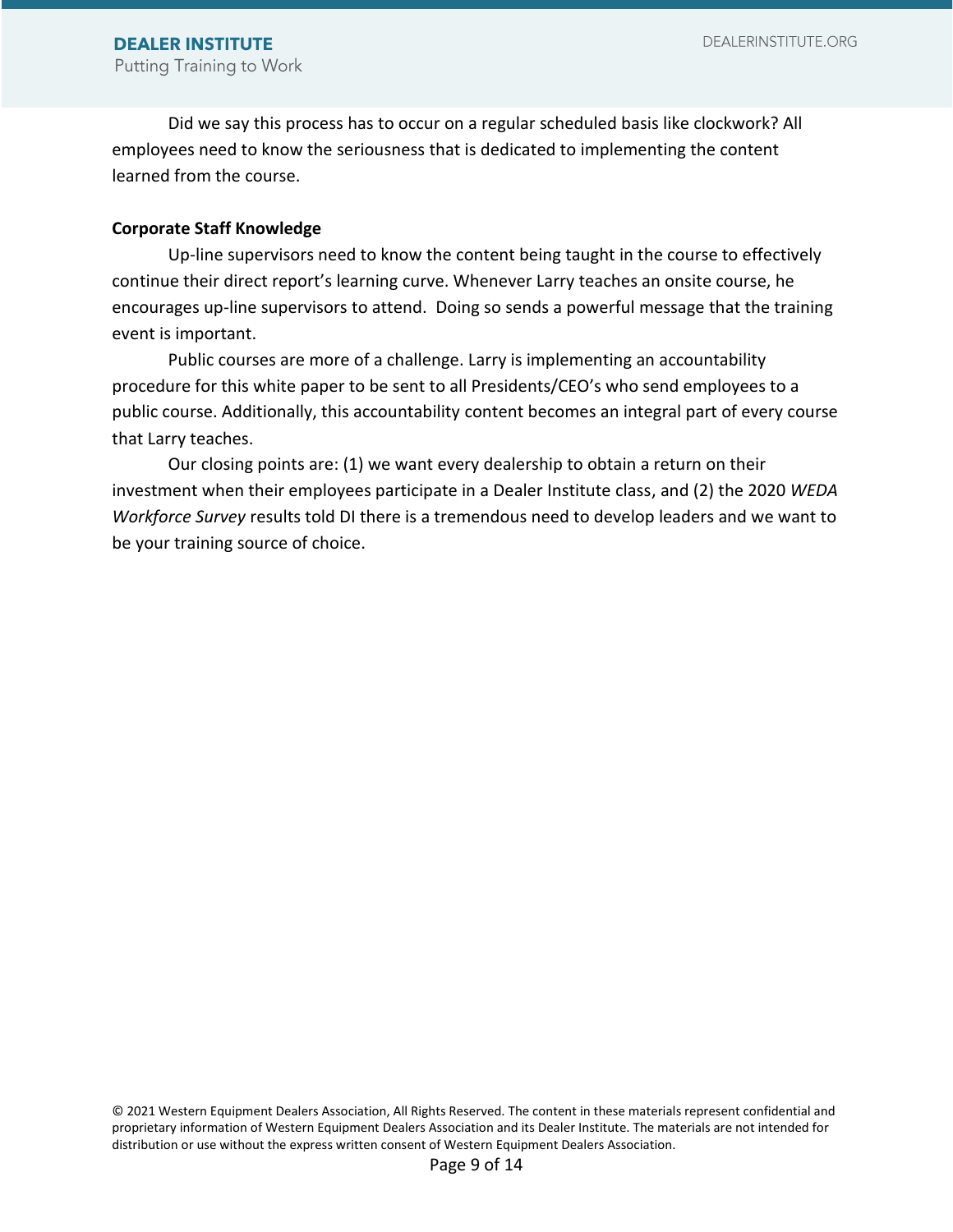Did we say this process has to occur on a regular scheduled basis like clockwork? All employees need to know the seriousness that is dedicated to implementing the content learned from the course.

#### **Corporate Staff Knowledge**

Up-line supervisors need to know the content being taught in the course to effectively continue their direct report's learning curve. Whenever Larry teaches an onsite course, he encourages up-line supervisors to attend. Doing so sends a powerful message that the training event is important.

Public courses are more of a challenge. Larry is implementing an accountability procedure for this white paper to be sent to all Presidents/CEO's who send employees to a public course. Additionally, this accountability content becomes an integral part of every course that Larry teaches.

Our closing points are: (1) we want every dealership to obtain a return on their investment when their employees participate in a Dealer Institute class, and (2) the 2020 *WEDA Workforce Survey* results told DI there is a tremendous need to develop leaders and we want to be your training source of choice.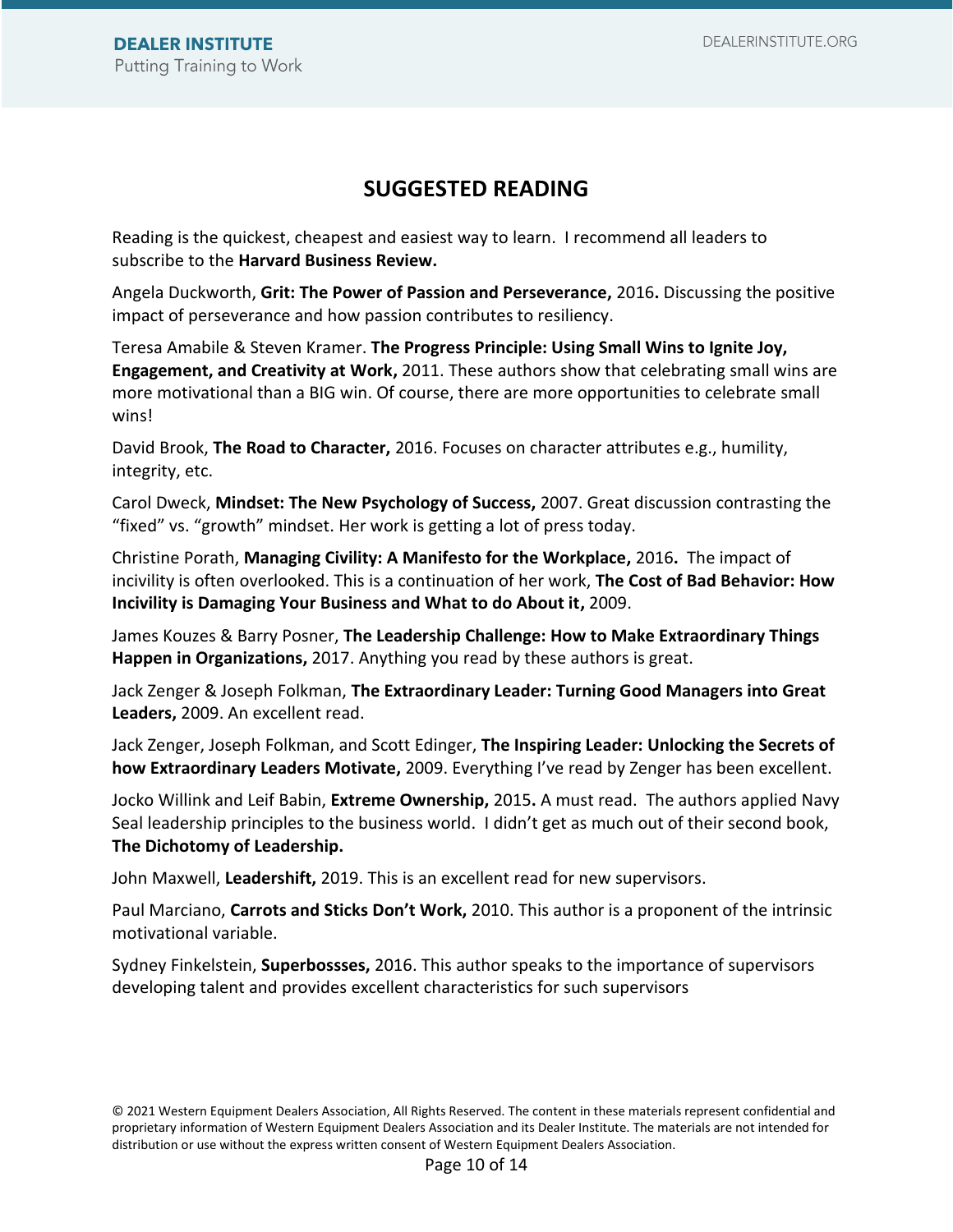# **SUGGESTED READING**

Reading is the quickest, cheapest and easiest way to learn. I recommend all leaders to subscribe to the **Harvard Business Review.** 

Angela Duckworth, **Grit: The Power of Passion and Perseverance,** 2016**.** Discussing the positive impact of perseverance and how passion contributes to resiliency.

Teresa Amabile & Steven Kramer. **The Progress Principle: Using Small Wins to Ignite Joy, Engagement, and Creativity at Work,** 2011. These authors show that celebrating small wins are more motivational than a BIG win. Of course, there are more opportunities to celebrate small wins!

David Brook, **The Road to Character,** 2016. Focuses on character attributes e.g., humility, integrity, etc.

Carol Dweck, **Mindset: The New Psychology of Success,** 2007. Great discussion contrasting the "fixed" vs. "growth" mindset. Her work is getting a lot of press today.

Christine Porath, **Managing Civility: A Manifesto for the Workplace,** 2016**.** The impact of incivility is often overlooked. This is a continuation of her work, **The Cost of Bad Behavior: How Incivility is Damaging Your Business and What to do About it,** 2009.

James Kouzes & Barry Posner, **The Leadership Challenge: How to Make Extraordinary Things Happen in Organizations,** 2017. Anything you read by these authors is great.

Jack Zenger & Joseph Folkman, **The Extraordinary Leader: Turning Good Managers into Great Leaders,** 2009. An excellent read.

Jack Zenger, Joseph Folkman, and Scott Edinger, **The Inspiring Leader: Unlocking the Secrets of how Extraordinary Leaders Motivate,** 2009. Everything I've read by Zenger has been excellent.

Jocko Willink and Leif Babin, **Extreme Ownership,** 2015**.** A must read. The authors applied Navy Seal leadership principles to the business world. I didn't get as much out of their second book, **The Dichotomy of Leadership.**

John Maxwell, **Leadershift,** 2019. This is an excellent read for new supervisors.

Paul Marciano, **Carrots and Sticks Don't Work,** 2010. This author is a proponent of the intrinsic motivational variable.

Sydney Finkelstein, **Superbossses,** 2016. This author speaks to the importance of supervisors developing talent and provides excellent characteristics for such supervisors

<sup>© 2021</sup> Western Equipment Dealers Association, All Rights Reserved. The content in these materials represent confidential and proprietary information of Western Equipment Dealers Association and its Dealer Institute. The materials are not intended for distribution or use without the express written consent of Western Equipment Dealers Association.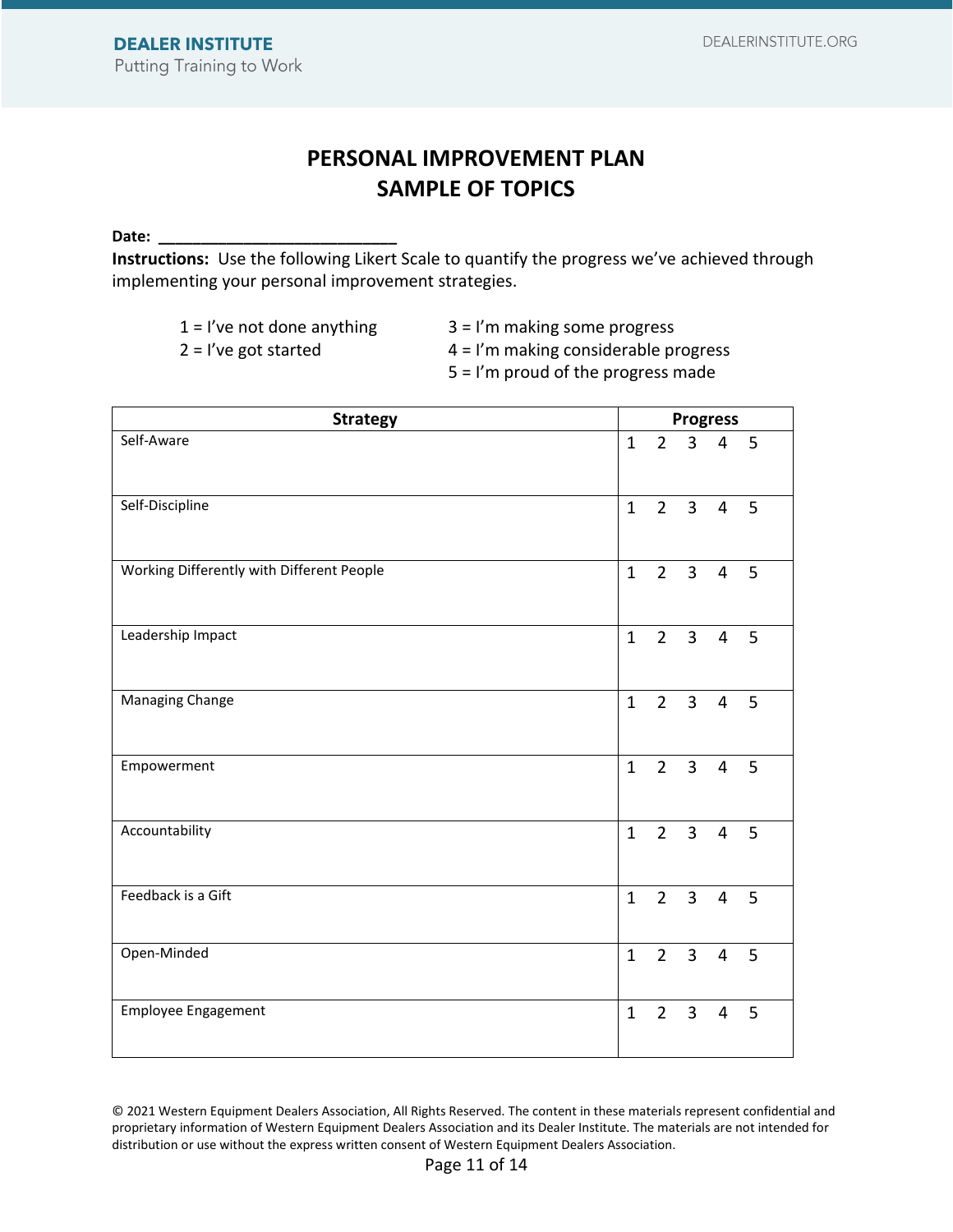# **PERSONAL IMPROVEMENT PLAN SAMPLE OF TOPICS**

**Date: \_\_\_\_\_\_\_\_\_\_\_\_\_\_\_\_\_\_\_\_\_\_\_\_\_\_\_\_**

**Instructions:** Use the following Likert Scale to quantify the progress we've achieved through implementing your personal improvement strategies.

|                         |  | $1 = 1$ 've not done anything |
|-------------------------|--|-------------------------------|
| $2 = l'$ ve got started |  |                               |

 $3 = I'm$  making some progress

 $4 = I'm$  making considerable progress

5 = I'm proud of the progress made

| <b>Strategy</b>                           |              | <b>Progress</b> |                     |                |             |  |  |
|-------------------------------------------|--------------|-----------------|---------------------|----------------|-------------|--|--|
| Self-Aware                                | 1            |                 | $2 \quad 3 \quad 4$ |                | 5           |  |  |
| Self-Discipline                           | $\mathbf{1}$ | $2^{\circ}$     | 3 <sup>7</sup>      | $\overline{4}$ | 5           |  |  |
| Working Differently with Different People | $\mathbf{1}$ | $2^{\circ}$     | $\overline{3}$      | $\overline{4}$ | 5           |  |  |
| Leadership Impact                         | $\mathbf{1}$ |                 | $2 \quad 3$         | $\overline{4}$ | 5           |  |  |
| Managing Change                           | $\mathbf{1}$ |                 | $2 \quad 3$         | $\overline{4}$ | 5           |  |  |
| Empowerment                               | $\mathbf{1}$ |                 | $2 \quad 3$         | $\overline{4}$ | 5           |  |  |
| Accountability                            | $\mathbf{1}$ |                 | $2 \quad 3$         | $\overline{4}$ | 5           |  |  |
| Feedback is a Gift                        | $\mathbf{1}$ |                 | $2 \quad 3$         | $\overline{4}$ | $5^{\circ}$ |  |  |
| Open-Minded                               | $\mathbf{1}$ |                 | $2 \quad 3$         | $\overline{4}$ | 5           |  |  |
| <b>Employee Engagement</b>                | $\mathbf{1}$ | $2^{\circ}$     | $\overline{3}$      | 4              | 5           |  |  |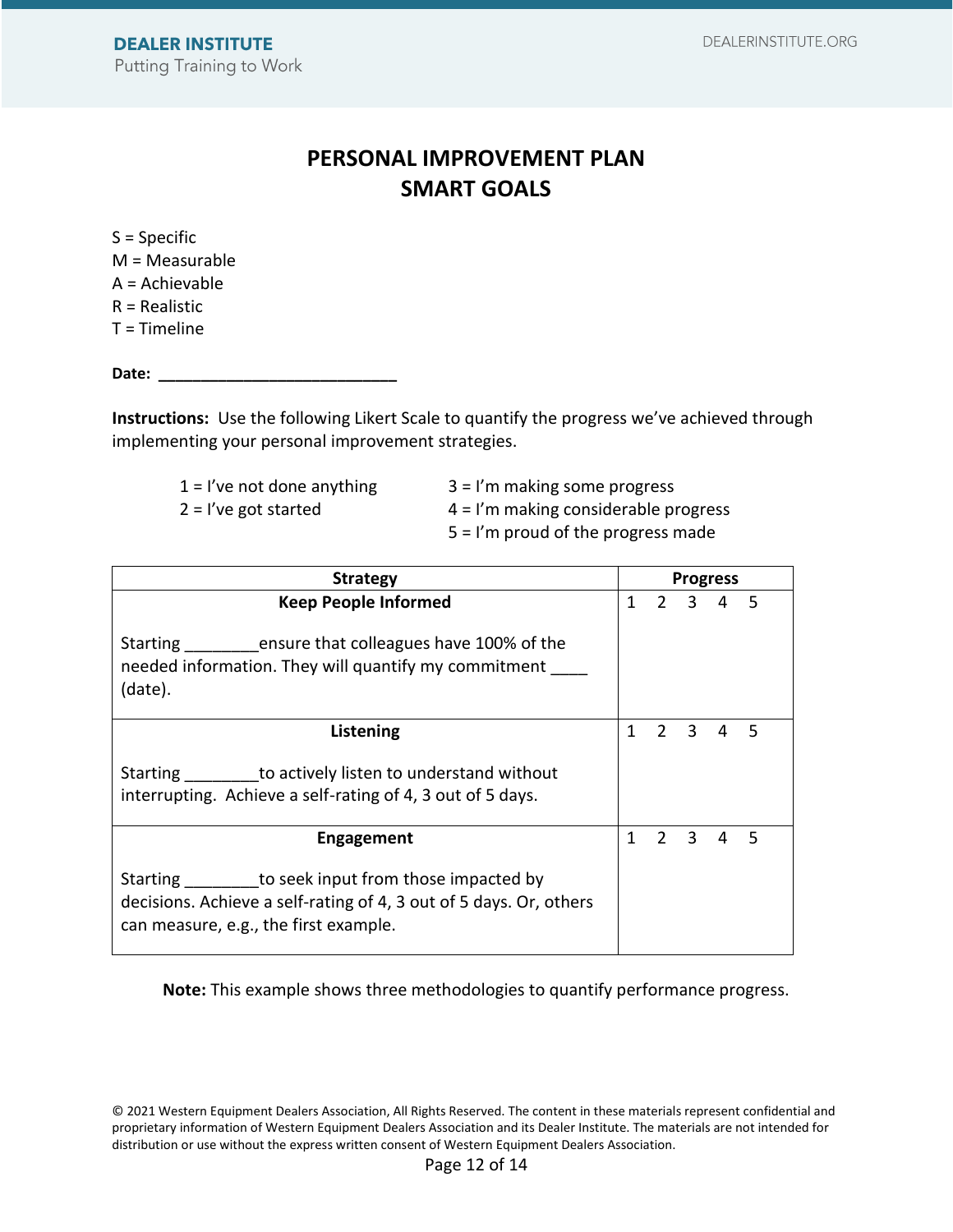# **PERSONAL IMPROVEMENT PLAN SMART GOALS**

S = Specific M = Measurable A = Achievable R = Realistic  $T =$ Timeline

Date:

**Instructions:** Use the following Likert Scale to quantify the progress we've achieved through implementing your personal improvement strategies.

 $1 =$  I've not done anything  $3 =$  I'm making some progress

 $2 = 1$ 've got started  $4 = 1$ 'm making considerable progress

5 = I'm proud of the progress made

| <b>Strategy</b>                                                                                                                                                         |   |  | <b>Progress</b>     |  |     |  |  |
|-------------------------------------------------------------------------------------------------------------------------------------------------------------------------|---|--|---------------------|--|-----|--|--|
| <b>Keep People Informed</b>                                                                                                                                             |   |  | $2 \quad 3 \quad 4$ |  | 5   |  |  |
| Starting __________ ensure that colleagues have 100% of the<br>needed information. They will quantify my commitment<br>(date).                                          |   |  |                     |  |     |  |  |
| Listening                                                                                                                                                               |   |  | $1 \t2 \t3 \t4$     |  | -5  |  |  |
| Starting to actively listen to understand without<br>interrupting. Achieve a self-rating of 4, 3 out of 5 days.                                                         |   |  |                     |  |     |  |  |
| <b>Engagement</b>                                                                                                                                                       | 1 |  | $2 \t3 \t4$         |  | - 5 |  |  |
| Starting __________ to seek input from those impacted by<br>decisions. Achieve a self-rating of 4, 3 out of 5 days. Or, others<br>can measure, e.g., the first example. |   |  |                     |  |     |  |  |

**Note:** This example shows three methodologies to quantify performance progress.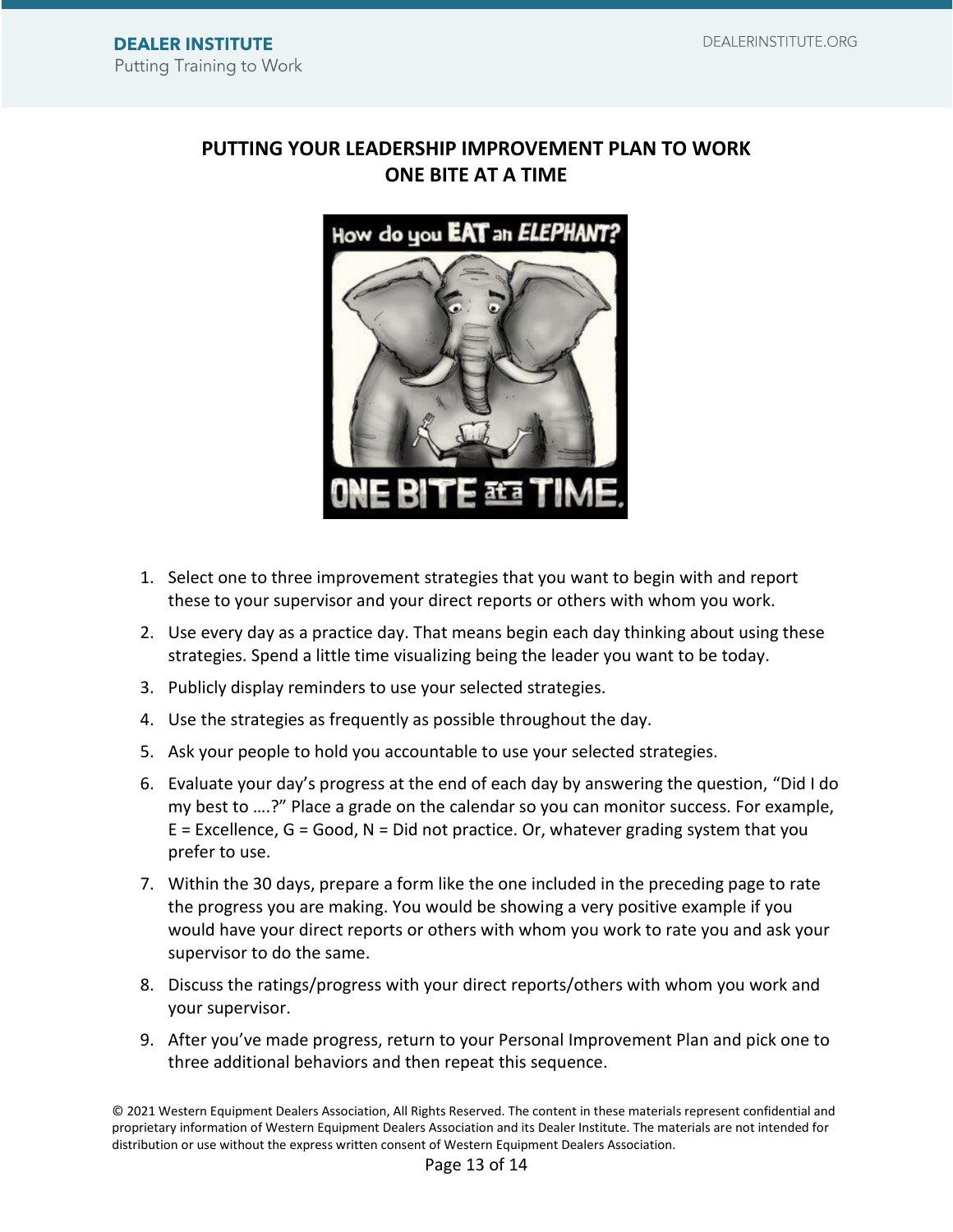### **PUTTING YOUR LEADERSHIP IMPROVEMENT PLAN TO WORK ONE BITE AT A TIME**



- 1. Select one to three improvement strategies that you want to begin with and report these to your supervisor and your direct reports or others with whom you work.
- 2. Use every day as a practice day. That means begin each day thinking about using these strategies. Spend a little time visualizing being the leader you want to be today.
- 3. Publicly display reminders to use your selected strategies.
- 4. Use the strategies as frequently as possible throughout the day.
- 5. Ask your people to hold you accountable to use your selected strategies.
- 6. Evaluate your day's progress at the end of each day by answering the question, "Did I do my best to ….?" Place a grade on the calendar so you can monitor success. For example,  $E =$  Excellence,  $G =$  Good,  $N =$  Did not practice. Or, whatever grading system that you prefer to use.
- 7. Within the 30 days, prepare a form like the one included in the preceding page to rate the progress you are making. You would be showing a very positive example if you would have your direct reports or others with whom you work to rate you and ask your supervisor to do the same.
- 8. Discuss the ratings/progress with your direct reports/others with whom you work and your supervisor.
- 9. After you've made progress, return to your Personal Improvement Plan and pick one to three additional behaviors and then repeat this sequence.